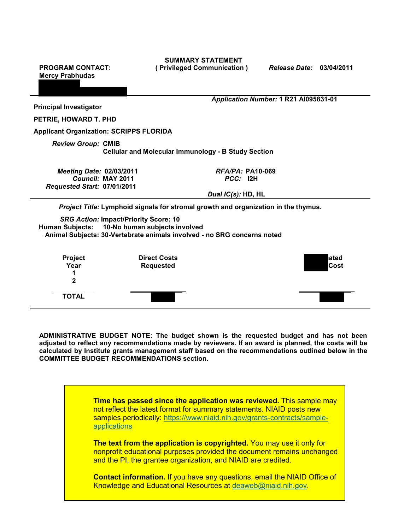**PROGRAM CONTACT: Mercy Prabhudas**

**SUMMARY STATEMENT ( Privileged Communication )** *Release Date:* **03/04/2011**

| <b>Principal Investigator</b>                                                           |                   | Application Number: 1 R21 Al095831-01                                                                                                                                    |               |
|-----------------------------------------------------------------------------------------|-------------------|--------------------------------------------------------------------------------------------------------------------------------------------------------------------------|---------------|
| PETRIE, HOWARD T. PHD                                                                   |                   |                                                                                                                                                                          |               |
| <b>Applicant Organization: SCRIPPS FLORIDA</b>                                          |                   |                                                                                                                                                                          |               |
| <b>Review Group: CMIB</b><br><b>Cellular and Molecular Immunology - B Study Section</b> |                   |                                                                                                                                                                          |               |
| <b>Meeting Date: 02/03/2011</b><br>Requested Start: 07/01/2011                          | Council: MAY 2011 | $RFA/PA$ : PA10-069<br>PCC: 12H                                                                                                                                          |               |
|                                                                                         |                   | Dual IC(s): HD, HL                                                                                                                                                       |               |
|                                                                                         |                   | Project Title: Lymphoid signals for stromal growth and organization in the thymus.                                                                                       |               |
|                                                                                         |                   | <b>SRG Action: Impact/Priority Score: 10</b><br>Human Subjects: 10-No human subjects involved<br>Animal Subjects: 30-Vertebrate animals involved - no SRG concerns noted |               |
| <b>Project</b><br>Year<br>$\mathbf{2}$                                                  |                   | <b>Direct Costs</b><br><b>Requested</b>                                                                                                                                  | lated<br>Cost |
| <b>TOTAL</b>                                                                            |                   |                                                                                                                                                                          |               |

**ADMINISTRATIVE BUDGET NOTE: The budget shown is the requested budget and has not been adjusted to reflect any recommendations made by reviewers. If an award is planned, the costs will be calculated by Institute grants management staff based on the recommendations outlined below in the COMMITTEE BUDGET RECOMMENDATIONS section.**



**Contact information.** If you have any questions, email the NIAID Office of Knowledge and Educational Resources at [deaweb@niaid.nih.gov.](mailto:deaweb@niaid.nih.gov)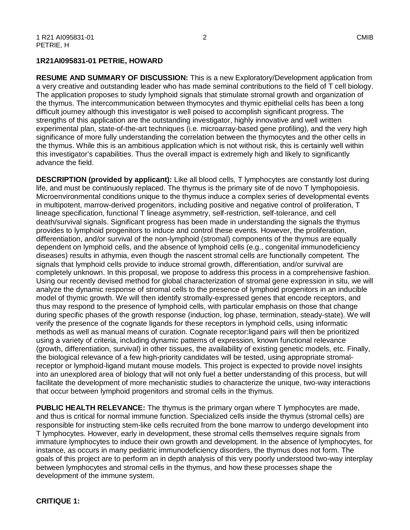#### **1R21AI095831-01 PETRIE, HOWARD**

**RESUME AND SUMMARY OF DISCUSSION:** This is a new Exploratory/Development application from a very creative and outstanding leader who has made seminal contributions to the field of T cell biology. The application proposes to study lymphoid signals that stimulate stromal growth and organization of the thymus. The intercommunication between thymocytes and thymic epithelial cells has been a long difficult journey although this investigator is well poised to accomplish significant progress. The strengths of this application are the outstanding investigator, highly innovative and well written experimental plan, state-of-the-art techniques (i.e. microarray-based gene profiling), and the very high significance of more fully understanding the correlation between the thymocytes and the other cells in the thymus. While this is an ambitious application which is not without risk, this is certainly well within this investigator's capabilities. Thus the overall impact is extremely high and likely to significantly advance the field.

**DESCRIPTION (provided by applicant):** Like all blood cells, T lymphocytes are constantly lost during life, and must be continuously replaced. The thymus is the primary site of de novo T lymphopoiesis. Microenvironmental conditions unique to the thymus induce a complex series of developmental events in multipotent, marrow-derived progenitors, including positive and negative control of proliferation, T lineage specification, functional T lineage asymmetry, self-restriction, self-tolerance, and cell death/survival signals. Significant progress has been made in understanding the signals the thymus provides to lymphoid progenitors to induce and control these events. However, the proliferation, differentiation, and/or survival of the non-lymphoid (stromal) components of the thymus are equally dependent on lymphoid cells, and the absence of lymphoid cells (e.g., congenital immunodeficiency diseases) results in athymia, even though the nascent stromal cells are functionally competent. The signals that lymphoid cells provide to induce stromal growth, differentiation, and/or survival are completely unknown. In this proposal, we propose to address this process in a comprehensive fashion. Using our recently devised method for global characterization of stromal gene expression in situ, we will analyze the dynamic response of stromal cells to the presence of lymphoid progenitors in an inducible model of thymic growth. We will then identify stromally-expressed genes that encode receptors, and thus may respond to the presence of lymphoid cells, with particular emphasis on those that change during specific phases of the growth response (induction, log phase, termination, steady-state). We will verify the presence of the cognate ligands for these receptors in lymphoid cells, using informatic methods as well as manual means of curation. Cognate receptor:ligand pairs will then be prioritized using a variety of criteria, including dynamic patterns of expression, known functional relevance (growth, differentiation, survival) in other tissues, the availability of existing genetic models, etc. Finally, the biological relevance of a few high-priority candidates will be tested, using appropriate stromalreceptor or lymphoid-ligand mutant mouse models. This project is expected to provide novel insights into an unexplored area of biology that will not only fuel a better understanding of this process, but will facilitate the development of more mechanistic studies to characterize the unique, two-way interactions that occur between lymphoid progenitors and stromal cells in the thymus.

**PUBLIC HEALTH RELEVANCE:** The thymus is the primary organ where T lymphocytes are made, and thus is critical for normal immune function. Specialized cells inside the thymus (stromal cells) are responsible for instructing stem-like cells recruited from the bone marrow to undergo development into T lymphocytes. However, early in development, these stromal cells themselves require signals from immature lymphocytes to induce their own growth and development. In the absence of lymphocytes, for instance, as occurs in many pediatric immunodeficiency disorders, the thymus does not form. The goals of this project are to perform an in depth analysis of this very poorly understood two-way interplay between lymphocytes and stromal cells in the thymus, and how these processes shape the development of the immune system.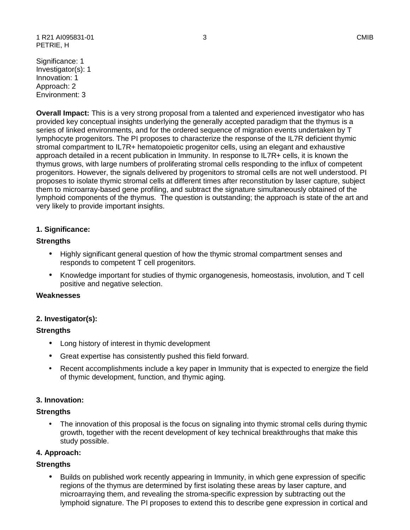1 R21 AI095831-01 3 CMIB PETRIE, H

Significance: 1 Investigator(s): 1 Innovation: 1 Approach: 2 Environment: 3

**Overall Impact:** This is a very strong proposal from a talented and experienced investigator who has provided key conceptual insights underlying the generally accepted paradigm that the thymus is a series of linked environments, and for the ordered sequence of migration events undertaken by T lymphocyte progenitors. The PI proposes to characterize the response of the IL7R deficient thymic stromal compartment to IL7R+ hematopoietic progenitor cells, using an elegant and exhaustive approach detailed in a recent publication in Immunity. In response to IL7R+ cells, it is known the thymus grows, with large numbers of proliferating stromal cells responding to the influx of competent progenitors. However, the signals delivered by progenitors to stromal cells are not well understood. PI proposes to isolate thymic stromal cells at different times after reconstitution by laser capture, subject them to microarray-based gene profiling, and subtract the signature simultaneously obtained of the lymphoid components of the thymus. The question is outstanding; the approach is state of the art and very likely to provide important insights.

# **1. Significance:**

#### **Strengths**

- Highly significant general question of how the thymic stromal compartment senses and responds to competent T cell progenitors.
- Knowledge important for studies of thymic organogenesis, homeostasis, involution, and T cell positive and negative selection.

#### **Weaknesses**

# **2. Investigator(s):**

#### **Strengths**

- Long history of interest in thymic development
- Great expertise has consistently pushed this field forward.
- Recent accomplishments include a key paper in Immunity that is expected to energize the field of thymic development, function, and thymic aging.

# **3. Innovation:**

# **Strengths**

• The innovation of this proposal is the focus on signaling into thymic stromal cells during thymic growth, together with the recent development of key technical breakthroughs that make this study possible.

#### **4. Approach:**

# **Strengths**

• Builds on published work recently appearing in Immunity, in which gene expression of specific regions of the thymus are determined by first isolating these areas by laser capture, and microarraying them, and revealing the stroma-specific expression by subtracting out the lymphoid signature. The PI proposes to extend this to describe gene expression in cortical and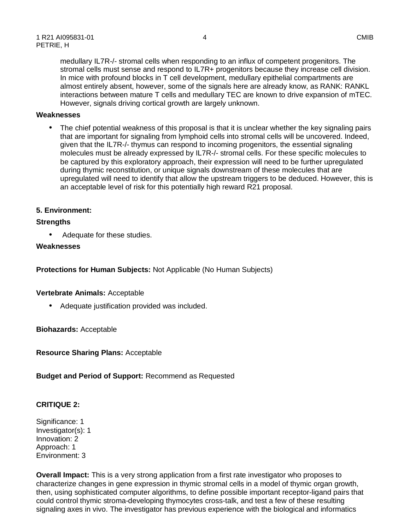medullary IL7R-/- stromal cells when responding to an influx of competent progenitors. The stromal cells must sense and respond to IL7R+ progenitors because they increase cell division. In mice with profound blocks in T cell development, medullary epithelial compartments are almost entirely absent, however, some of the signals here are already know, as RANK: RANKL interactions between mature T cells and medullary TEC are known to drive expansion of mTEC. However, signals driving cortical growth are largely unknown.

#### **Weaknesses**

• The chief potential weakness of this proposal is that it is unclear whether the key signaling pairs that are important for signaling from lymphoid cells into stromal cells will be uncovered. Indeed, given that the IL7R-/- thymus can respond to incoming progenitors, the essential signaling molecules must be already expressed by IL7R-/- stromal cells. For these specific molecules to be captured by this exploratory approach, their expression will need to be further upregulated during thymic reconstitution, or unique signals downstream of these molecules that are upregulated will need to identify that allow the upstream triggers to be deduced. However, this is an acceptable level of risk for this potentially high reward R21 proposal.

#### **5. Environment:**

#### **Strengths**

• Adequate for these studies.

#### **Weaknesses**

**Protections for Human Subjects:** Not Applicable (No Human Subjects)

#### **Vertebrate Animals:** Acceptable

• Adequate justification provided was included.

**Biohazards:** Acceptable

**Resource Sharing Plans:** Acceptable

**Budget and Period of Support:** Recommend as Requested

# **CRITIQUE 2:**

Significance: 1 Investigator(s): 1 Innovation: 2 Approach: 1 Environment: 3

**Overall Impact:** This is a very strong application from a first rate investigator who proposes to characterize changes in gene expression in thymic stromal cells in a model of thymic organ growth, then, using sophisticated computer algorithms, to define possible important receptor-ligand pairs that could control thymic stroma-developing thymocytes cross-talk, and test a few of these resulting signaling axes in vivo. The investigator has previous experience with the biological and informatics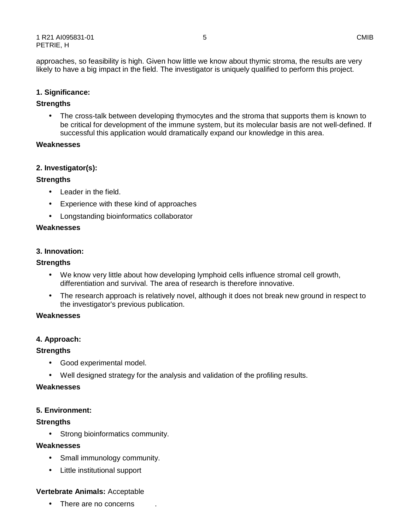approaches, so feasibility is high. Given how little we know about thymic stroma, the results are very likely to have a big impact in the field. The investigator is uniquely qualified to perform this project.

# **1. Significance:**

# **Strengths**

• The cross-talk between developing thymocytes and the stroma that supports them is known to be critical for development of the immune system, but its molecular basis are not well-defined. If successful this application would dramatically expand our knowledge in this area.

#### **Weaknesses**

#### **2. Investigator(s):**

# **Strengths**

- Leader in the field.
- Experience with these kind of approaches
- Longstanding bioinformatics collaborator

# **Weaknesses**

#### **3. Innovation:**

#### **Strengths**

- We know very little about how developing lymphoid cells influence stromal cell growth, differentiation and survival. The area of research is therefore innovative.
- The research approach is relatively novel, although it does not break new ground in respect to the investigator's previous publication.

#### **Weaknesses**

# **4. Approach:**

# **Strengths**

- Good experimental model.
- Well designed strategy for the analysis and validation of the profiling results.

#### **Weaknesses**

# **5. Environment:**

# **Strengths**

• Strong bioinformatics community.

#### **Weaknesses**

- Small immunology community.
- Little institutional support

# **Vertebrate Animals:** Acceptable

There are no concerns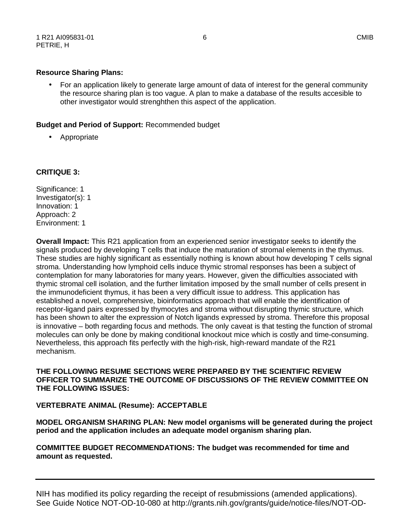• For an application likely to generate large amount of data of interest for the general community the resource sharing plan is too vague. A plan to make a database of the results accesible to other investigator would strenghthen this aspect of the application.

# **Budget and Period of Support:** Recommended budget

• Appropriate

# **CRITIQUE 3:**

Significance: 1 Investigator(s): 1 Innovation: 1 Approach: 2 Environment: 1

**Overall Impact:** This R21 application from an experienced senior investigator seeks to identify the signals produced by developing T cells that induce the maturation of stromal elements in the thymus. These studies are highly significant as essentially nothing is known about how developing T cells signal stroma. Understanding how lymphoid cells induce thymic stromal responses has been a subject of contemplation for many laboratories for many years. However, given the difficulties associated with thymic stromal cell isolation, and the further limitation imposed by the small number of cells present in the immunodeficient thymus, it has been a very difficult issue to address. This application has established a novel, comprehensive, bioinformatics approach that will enable the identification of receptor-ligand pairs expressed by thymocytes and stroma without disrupting thymic structure, which has been shown to alter the expression of Notch ligands expressed by stroma. Therefore this proposal is innovative – both regarding focus and methods. The only caveat is that testing the function of stromal molecules can only be done by making conditional knockout mice which is costly and time-consuming. Nevertheless, this approach fits perfectly with the high-risk, high-reward mandate of the R21 mechanism.

**THE FOLLOWING RESUME SECTIONS WERE PREPARED BY THE SCIENTIFIC REVIEW OFFICER TO SUMMARIZE THE OUTCOME OF DISCUSSIONS OF THE REVIEW COMMITTEE ON THE FOLLOWING ISSUES:** 

# **VERTEBRATE ANIMAL (Resume): ACCEPTABLE**

**MODEL ORGANISM SHARING PLAN: New model organisms will be generated during the project period and the application includes an adequate model organism sharing plan.** 

**COMMITTEE BUDGET RECOMMENDATIONS: The budget was recommended for time and amount as requested.** 

NIH has modified its policy regarding the receipt of resubmissions (amended applications). See Guide Notice NOT-OD-10-080 at http://grants.nih.gov/grants/guide/notice-files/NOT-OD-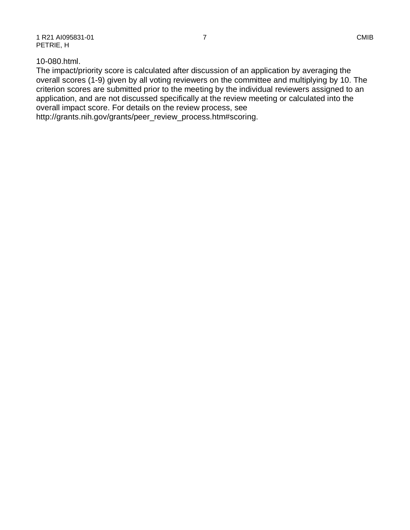# 10-080.html.

The impact/priority score is calculated after discussion of an application by averaging the overall scores (1-9) given by all voting reviewers on the committee and multiplying by 10. The criterion scores are submitted prior to the meeting by the individual reviewers assigned to an application, and are not discussed specifically at the review meeting or calculated into the overall impact score. For details on the review process, see http://grants.nih.gov/grants/peer\_review\_process.htm#scoring.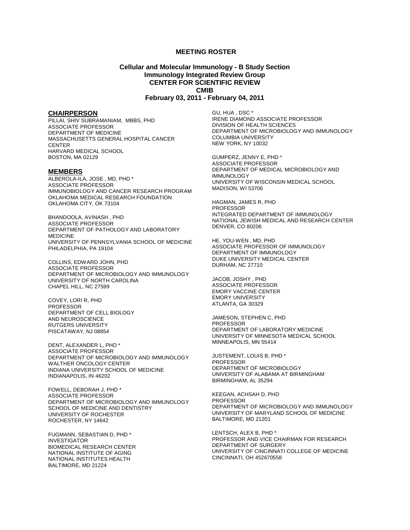#### **MEETING ROSTER**

#### **Cellular and Molecular Immunology - B Study Section Immunology Integrated Review Group CENTER FOR SCIENTIFIC REVIEW CMIB February 03, 2011 - February 04, 2011**

#### **CHAIRPERSON**

PILLAI, SHIV SUBRAMANIAM, MBBS, PHD ASSOCIATE PROFESSOR DEPARTMENT OF MEDICINE MASSACHUSETTS GENERAL HOSPITAL CANCER **CENTER** HARVARD MEDICAL SCHOOL BOSTON, MA 02129

#### **MEMBERS**

ALBEROLA-ILA, JOSE , MD, PHD \* ASSOCIATE PROFESSOR IMMUNOBIOLOGY AND CANCER RESEARCH PROGRAM OKLAHOMA MEDICAL RESEARCH FOUNDATION OKLAHOMA CITY, OK 73104

BHANDOOLA, AVINASH , PHD ASSOCIATE PROFESSOR DEPARTMENT OF PATHOLOGY AND LABORATORY MEDICINE UNIVERSITY OF PENNSYLVANIA SCHOOL OF MEDICINE PHILADELPHIA, PA 19104

COLLINS, EDWARD JOHN, PHD ASSOCIATE PROFESSOR DEPARTMENT OF MICROBIOLOGY AND IMMUNOLOGY UNIVERSITY OF NORTH CAROLINA CHAPEL HILL, NC 27599

COVEY, LORI R, PHD PROFESSOR DEPARTMENT OF CELL BIOLOGY AND NEUROSCIENCE RUTGERS UNIVERSITY PISCATAWAY, NJ 08854

DENT, ALEXANDER L, PHD \* ASSOCIATE PROFESSOR DEPARTMENT OF MICROBIOLOGY AND IMMUNOLOGY WALTHER ONCOLOGY CENTER INDIANA UNIVERSITY SCHOOL OF MEDICINE INDIANAPOLIS, IN 46202

FOWELL, DEBORAH J, PHD \* ASSOCIATE PROFESSOR DEPARTMENT OF MICROBIOLOGY AND IMMUNOLOGY SCHOOL OF MEDICINE AND DENTISTRY UNIVERSITY OF ROCHESTER ROCHESTER, NY 14642

FUGMANN, SEBASTIAN D, PHD \* INVESTIGATOR BIOMEDICAL RESEARCH CENTER NATIONAL INSTITUTE OF AGING NATIONAL INSTITUTES HEALTH BALTIMORE, MD 21224

GU, HUA , DSC \* IRENE DIAMOND ASSOCIATE PROFESSOR DIVISION OF HEALTH SCIENCES DEPARTMENT OF MICROBIOLOGY AND IMMUNOLOGY COLUMBIA UNIVERSITY NEW YORK, NY 10032

GUMPERZ, JENNY E, PHD \* ASSOCIATE PROFESSOR DEPARTMENT OF MEDICAL MICROBIOLOGY AND IMMUNOLOGY UNIVERSITY OF WISCONSIN MEDICAL SCHOOL MADISON, WI 53706

HAGMAN, JAMES R, PHD PROFESSOR INTEGRATED DEPARTMENT OF IMMUNOLOGY NATIONAL JEWISH MEDICAL AND RESEARCH CENTER DENVER, CO 80206

HE, YOU-WEN , MD, PHD ASSOCIATE PROFESSOR OF IMMUNOLOGY DEPARTMENT OF IMMUNOLOGY DUKE UNIVERSITY MEDICAL CENTER DURHAM, NC 27710

JACOB, JOSHY , PHD ASSOCIATE PROFESSOR EMORY VACCINE CENTER EMORY UNIVERSITY ATLANTA, GA 30329

JAMESON, STEPHEN C, PHD PROFESSOR DEPARTMENT OF LABORATORY MEDICINE UNIVERSITY OF MINNESOTA MEDICAL SCHOOL MINNEAPOLIS, MN 55414

JUSTEMENT, LOUIS B, PHD \* PROFESSOR DEPARTMENT OF MICROBIOLOGY UNIVERSITY OF ALABAMA AT BIRMINGHAM BIRMINGHAM, AL 35294

KEEGAN, ACHSAH D, PHD PROFESSOR DEPARTMENT OF MICROBIOLOGY AND IMMUNOLOGY UNIVERSITY OF MARYLAND SCHOOL OF MEDICINE BALTIMORE, MD 21201

LENTSCH, ALEX B, PHD \* PROFESSOR AND VICE CHAIRMAN FOR RESEARCH DEPARTMENT OF SURGERY UNIVERSITY OF CINCINNATI COLLEGE OF MEDICINE CINCINNATI, OH 452670558